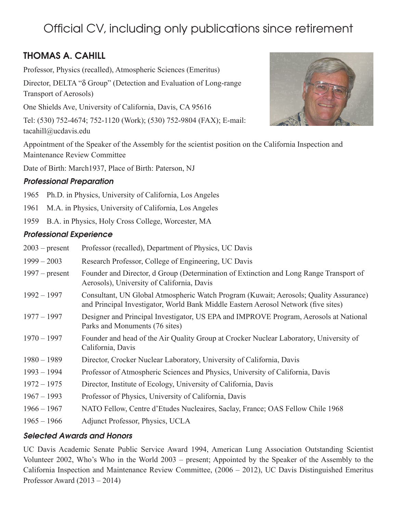# Official CV, including only publications since retirement

## THOMAS A. CAHILL

Professor, Physics (recalled), Atmospheric Sciences (Emeritus)

Director, DELTA " $\delta$  Group" (Detection and Evaluation of Long-range Transport of Aerosols)

One Shields Ave, University of California, Davis, CA 95616

Tel: (530) 752-4674; 752-1120 (Work); (530) 752-9804 (FAX); E-mail: tacahill@ucdavis.edu

Appointment of the Speaker of the Assembly for the scientist position on the California Inspection and Maintenance Review Committee

Date of Birth: March1937, Place of Birth: Paterson, NJ

## Professional Preparation

- 1965 Ph.D. in Physics, University of California, Los Angeles
- 1961 M.A. in Physics, University of California, Los Angeles
- 1959 B.A. in Physics, Holy Cross College, Worcester, MA

## Professional Experience

| $2003$ – present | Professor (recalled), Department of Physics, UC Davis                                                                                                                       |
|------------------|-----------------------------------------------------------------------------------------------------------------------------------------------------------------------------|
| $1999 - 2003$    | Research Professor, College of Engineering, UC Davis                                                                                                                        |
| $1997$ – present | Founder and Director, d Group (Determination of Extinction and Long Range Transport of<br>Aerosols), University of California, Davis                                        |
| $1992 - 1997$    | Consultant, UN Global Atmospheric Watch Program (Kuwait; Aerosols; Quality Assurance)<br>and Principal Investigator, World Bank Middle Eastern Aerosol Network (five sites) |
| $1977 - 1997$    | Designer and Principal Investigator, US EPA and IMPROVE Program, Aerosols at National<br>Parks and Monuments (76 sites)                                                     |
| $1970 - 1997$    | Founder and head of the Air Quality Group at Crocker Nuclear Laboratory, University of<br>California, Davis                                                                 |
| $1980 - 1989$    | Director, Crocker Nuclear Laboratory, University of California, Davis                                                                                                       |
| $1993 - 1994$    | Professor of Atmospheric Sciences and Physics, University of California, Davis                                                                                              |
| $1972 - 1975$    | Director, Institute of Ecology, University of California, Davis                                                                                                             |
| $1967 - 1993$    | Professor of Physics, University of California, Davis                                                                                                                       |
| $1966 - 1967$    | NATO Fellow, Centre d'Etudes Nucleaires, Saclay, France; OAS Fellow Chile 1968                                                                                              |
| $1965 - 1966$    | Adjunct Professor, Physics, UCLA                                                                                                                                            |

## Selected Awards and Honors

UC Davis Academic Senate Public Service Award 1994, American Lung Association Outstanding Scientist Volunteer 2002, Who's Who in the World 2003 – present; Appointed by the Speaker of the Assembly to the California Inspection and Maintenance Review Committee, (2006 – 2012), UC Davis Distinguished Emeritus Professor Award (2013 – 2014)

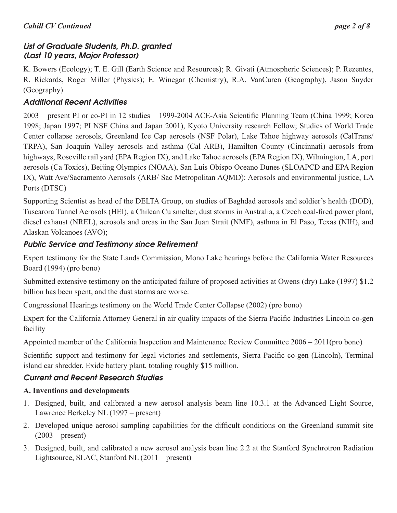#### *Cahill CV Continued page 2 of 8*

## List of Graduate Students, Ph.D. granted (Last 10 years, Major Professor)

K. Bowers (Ecology); T. E. Gill (Earth Science and Resources); R. Givati (Atmospheric Sciences); P. Rezentes, R. Rickards, Roger Miller (Physics); E. Winegar (Chemistry), R.A. VanCuren (Geography), Jason Snyder (Geography)

## Additional Recent Activities

2003 – present PI or co-PI in 12 studies – 1999-2004 ACE-Asia Scientific Planning Team (China 1999; Korea 1998; Japan 1997; PI NSF China and Japan 2001), Kyoto University research Fellow; Studies of World Trade Center collapse aerosols, Greenland Ice Cap aerosols (NSF Polar), Lake Tahoe highway aerosols (CalTrans/ TRPA), San Joaquin Valley aerosols and asthma (Cal ARB), Hamilton County (Cincinnati) aerosols from highways, Roseville rail yard (EPA Region IX), and Lake Tahoe aerosols (EPA Region IX), Wilmington, LA, port aerosols (Ca Toxics), Beijing Olympics (NOAA), San Luis Obispo Oceano Dunes (SLOAPCD and EPA Region IX), Watt Ave/Sacramento Aerosols (ARB/ Sac Metropolitan AQMD): Aerosols and environmental justice, LA Ports (DTSC)

Supporting Scientist as head of the DELTA Group, on studies of Baghdad aerosols and soldier's health (DOD), Tuscarora Tunnel Aerosols (HEI), a Chilean Cu smelter, dust storms in Australia, a Czech coal-fired power plant, diesel exhaust (NREL), aerosols and orcas in the San Juan Strait (NMF), asthma in El Paso, Texas (NIH), and Alaskan Volcanoes (AVO);

## Public Service and Testimony since Retirement

Expert testimony for the State Lands Commission, Mono Lake hearings before the California Water Resources Board (1994) (pro bono)

Submitted extensive testimony on the anticipated failure of proposed activities at Owens (dry) Lake (1997) \$1.2 billion has been spent, and the dust storms are worse.

Congressional Hearings testimony on the World Trade Center Collapse (2002) (pro bono)

Expert for the California Attorney General in air quality impacts of the Sierra Pacific Industries Lincoln co-gen facility

Appointed member of the California Inspection and Maintenance Review Committee 2006 – 2011(pro bono)

Scientific support and testimony for legal victories and settlements, Sierra Pacific co-gen (Lincoln), Terminal island car shredder, Exide battery plant, totaling roughly \$15 million.

## Current and Recent Research Studies

## **A. Inventions and developments**

- 1. Designed, built, and calibrated a new aerosol analysis beam line 10.3.1 at the Advanced Light Source, Lawrence Berkeley NL (1997 – present)
- 2. Developed unique aerosol sampling capabilities for the difficult conditions on the Greenland summit site  $(2003 - present)$
- 3. Designed, built, and calibrated a new aerosol analysis bean line 2.2 at the Stanford Synchrotron Radiation Lightsource, SLAC, Stanford NL (2011 – present)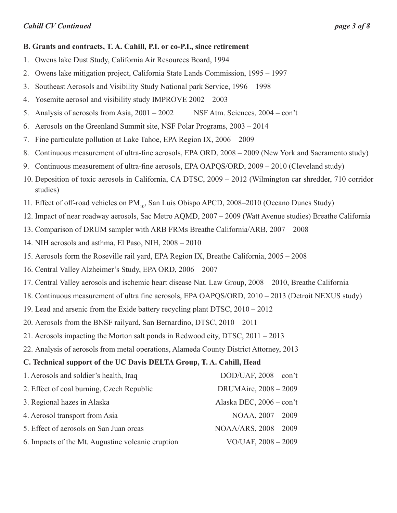#### **B. Grants and contracts, T. A. Cahill, P.I. or co-P.I., since retirement**

- 1. Owens lake Dust Study, California Air Resources Board, 1994
- 2. Owens lake mitigation project, California State Lands Commission, 1995 1997
- 3. Southeast Aerosols and Visibility Study National park Service, 1996 1998
- 4. Yosemite aerosol and visibility study IMPROVE 2002 2003
- 5. Analysis of aerosols from Asia, 2001 2002 NSF Atm. Sciences, 2004 con't
- 6. Aerosols on the Greenland Summit site, NSF Polar Programs, 2003 2014
- 7. Fine particulate pollution at Lake Tahoe, EPA Region IX, 2006 2009
- 8. Continuous measurement of ultra-fine aerosols, EPA ORD, 2008 2009 (New York and Sacramento study)
- 9. Continuous measurement of ultra-fine aerosols, EPA OAPQS/ORD, 2009 2010 (Cleveland study)
- 10. Deposition of toxic aerosols in California, CA DTSC, 2009 2012 (Wilmington car shredder, 710 corridor studies)
- 11. Effect of off-road vehicles on PM<sub>10</sub>, San Luis Obispo APCD, 2008–2010 (Oceano Dunes Study)
- 12. Impact of near roadway aerosols, Sac Metro AQMD, 2007 2009 (Watt Avenue studies) Breathe California
- 13. Comparison of DRUM sampler with ARB FRMs Breathe California/ARB, 2007 2008
- 14. NIH aerosols and asthma, El Paso, NIH, 2008 2010
- 15. Aerosols form the Roseville rail yard, EPA Region IX, Breathe California, 2005 2008
- 16. Central Valley Alzheimer's Study, EPA ORD, 2006 2007
- 17. Central Valley aerosols and ischemic heart disease Nat. Law Group, 2008 2010, Breathe California
- 18. Continuous measurement of ultra fine aerosols, EPA OAPQS/ORD, 2010 2013 (Detroit NEXUS study)
- 19. Lead and arsenic from the Exide battery recycling plant DTSC, 2010 2012
- 20. Aerosols from the BNSF railyard, San Bernardino, DTSC, 2010 2011
- 21. Aerosols impacting the Morton salt ponds in Redwood city, DTSC, 2011 2013
- 22. Analysis of aerosols from metal operations, Alameda County District Attorney, 2013

## **C. Technical support of the UC Davis DELTA Group, T. A. Cahill, Head**

| 1. Aerosols and soldier's health, Iraq            | $DOD/UAF$ , $2008 - con't$ |
|---------------------------------------------------|----------------------------|
| 2. Effect of coal burning, Czech Republic         | DRUMAire, 2008 - 2009      |
| 3. Regional hazes in Alaska                       | Alaska DEC, 2006 - con't   |
| 4. Aerosol transport from Asia                    | NOAA, 2007 - 2009          |
| 5. Effect of aerosols on San Juan orcas           | NOAA/ARS, 2008 - 2009      |
| 6. Impacts of the Mt. Augustine volcanic eruption | VO/UAF, 2008 - 2009        |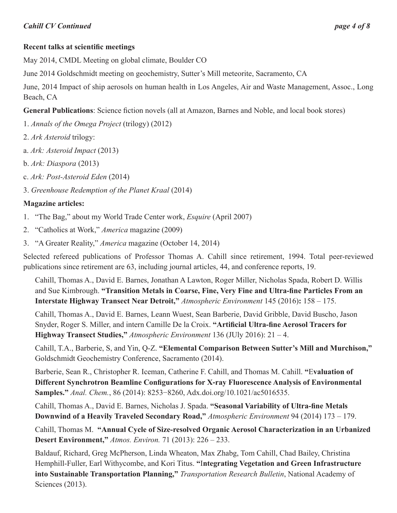## **Recent talks at scientific meetings**

May 2014, CMDL Meeting on global climate, Boulder CO

June 2014 Goldschmidt meeting on geochemistry, Sutter's Mill meteorite, Sacramento, CA

June, 2014 Impact of ship aerosols on human health in Los Angeles, Air and Waste Management, Assoc., Long Beach, CA

**General Publications**: Science fiction novels (all at Amazon, Barnes and Noble, and local book stores)

- 1. *Annals of the Omega Project* (trilogy) (2012)
- 2. *Ark Asteroid* trilogy:
- a. *Ark: Asteroid Impact* (2013)
- b. *Ark: Diaspora* (2013)
- c. *Ark: Post-Asteroid Eden* (2014)
- 3. *Greenhouse Redemption of the Planet Kraal* (2014)

## **Magazine articles:**

- 1. "The Bag," about my World Trade Center work, *Esquire* (April 2007)
- 2. "Catholics at Work," *America* magazine (2009)
- 3. "A Greater Reality," *America* magazine (October 14, 2014)

Selected refereed publications of Professor Thomas A. Cahill since retirement, 1994. Total peer-reviewed publications since retirement are 63, including journal articles, 44, and conference reports, 19.

Cahill, Thomas A., David E. Barnes, Jonathan A Lawton, Roger Miller, Nicholas Spada, Robert D. Willis and Sue Kimbrough. **"Transition Metals in Coarse, Fine, Very Fine and Ultra-fine Particles From an Interstate Highway Transect Near Detroit,"** *Atmospheric Environment* 145 (2016)**:** 158 – 175.

Cahill, Thomas A., David E. Barnes, Leann Wuest, Sean Barberie, David Gribble, David Buscho, Jason Snyder, Roger S. Miller, and intern Camille De la Croix. **"Artificial Ultra-fine Aerosol Tracers for Highway Transect Studies,"** *Atmospheric Environment* 136 (JUly 2016): 21 – 4.

Cahill, T.A., Barberie, S, and Yin, Q-Z. **"Elemental Comparison Between Sutter's Mill and Murchison,"** Goldschmidt Geochemistry Conference, Sacramento (2014).

Barberie, Sean R., Christopher R. Iceman, Catherine F. Cahill, and Thomas M. Cahill. **"**E**valuation of Different Synchrotron Beamline Configurations for X‑ray Fluorescence Analysis of Environmental Samples."** *Anal. Chem.*, 86 (2014): 8253−8260, Adx.doi.org/10.1021/ac5016535.

Cahill, Thomas A., David E. Barnes, Nicholas J. Spada. **"Seasonal Variability of Ultra-fine Metals Downwind of a Heavily Traveled Secondary Road,"** *Atmospheric Environment* 94 (2014) 173 – 179.

Cahill, Thomas M. **"Annual Cycle of Size-resolved Organic Aerosol Characterization in an Urbanized Desert Environment,"** *Atmos. Environ.* 71 (2013): 226 – 233.

Baldauf, Richard, Greg McPherson, Linda Wheaton, Max Zhabg, Tom Cahill, Chad Bailey, Christina Hemphill-Fuller, Earl Withycombe, and Kori Titus. **"**I**ntegrating Vegetation and Green Infrastructure into Sustainable Transportation Planning,"** *Transportation Research Bulletin*, National Academy of Sciences (2013).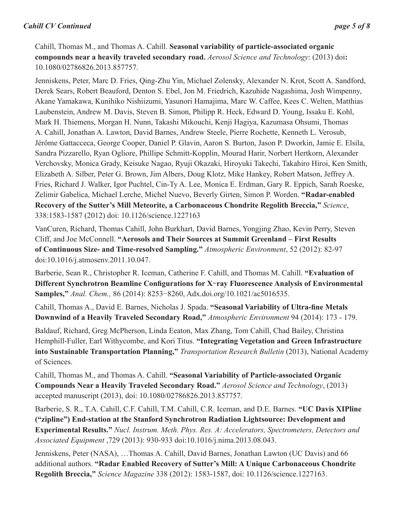#### *Cahill CV Continued page 5 of 8*

Cahill, Thomas M., and Thomas A. Cahill. **Seasonal variability of particle-associated organic compounds near a heavily traveled secondary road.** *Aerosol Science and Technology*: (2013) doi**:**  10.1080/02786826.2013.857757.

Jenniskens, Peter, Marc D. Fries, Qing-Zhu Yin, Michael Zolensky, Alexander N. Krot, Scott A. Sandford, Derek Sears, Robert Beauford, Denton S. Ebel, Jon M. Friedrich, Kazuhide Nagashima, Josh Wimpenny, Akane Yamakawa, Kunihiko Nishiizumi, Yasunori Hamajima, Marc W. Caffee, Kees C. Welten, Matthias Laubenstein, Andrew M. Davis, Steven B. Simon, Philipp R. Heck, Edward D. Young, Issaku E. Kohl, Mark H. Thiemens, Morgan H. Nunn, Takashi Mikouchi, Kenji Hagiya, Kazumasa Ohsumi, Thomas A. Cahill, Jonathan A. Lawton, David Barnes, Andrew Steele, Pierre Rochette, Kenneth L. Verosub, Jérôme Gattacceca, George Cooper, Daniel P. Glavin, Aaron S. Burton, Jason P. Dworkin, Jamie E. Elsila, Sandra Pizzarello, Ryan Ogliore, Phillipe Schmitt-Kopplin, Mourad Harir, Norbert Hertkorn, Alexander Verchovsky, Monica Grady, Keisuke Nagao, Ryuji Okazaki, Hiroyuki Takechi, Takahiro Hiroi, Ken Smith, Elizabeth A. Silber, Peter G. Brown, Jim Albers, Doug Klotz, Mike Hankey, Robert Matson, Jeffrey A. Fries, Richard J. Walker, Igor Puchtel, Cin-Ty A. Lee, Monica E. Erdman, Gary R. Eppich, Sarah Roeske, Zelimir Gabelica, Michael Lerche, Michel Nuevo, Beverly Girten, Simon P. Worden. **"Radar-enabled Recovery of the Sutter's Mill Meteorite, a Carbonaceous Chondrite Regolith Breccia,"** *Science*, 338:1583-1587 (2012) doi: 10.1126/science.1227163

VanCuren, Richard, Thomas Cahill, John Burkhart, David Barnes, Yongjing Zhao, Kevin Perry, Steven Cliff, and Joe McConnell. **"Aerosols and Their Sources at Summit Greenland – First Results of Continuous Size- and Time-resolved Sampling."** *Atmospheric Environment*, 52 (2012): 82-97 doi:10.1016/j.atmosenv.2011.10.047.

Barberie, Sean R., Christopher R. Iceman, Catherine F. Cahill, and Thomas M. Cahill. **"Evaluation of Different Synchrotron Beamline Configurations for X**‑**ray Fluorescence Analysis of Environmental Samples,"** *Anal. Chem.,* 86 (2014): 8253−8260, Adx.doi.org/10.1021/ac5016535.

Cahill, Thomas A., David E. Barnes, Nicholas J. Spada. **"Seasonal Variability of Ultra-fine Metals Downwind of a Heavily Traveled Secondary Road,"** *Atmospheric Environment* 94 (2014): 173 - 179.

Baldauf, Richard, Greg McPherson, Linda Eeaton, Max Zhang, Tom Cahill, Chad Bailey, Christina Hemphill-Fuller, Earl Withycombe, and Kori Titus. **"Integrating Vegetation and Green Infrastructure into Sustainable Transportation Planning,"** *Transportation Research Bulletin* (2013), National Academy of Sciences.

Cahill, Thomas M., and Thomas A. Cahill. **"Seasonal Variability of Particle-associated Organic Compounds Near a Heavily Traveled Secondary Road."** *Aerosol Science and Technology*, (2013) accepted manuscript (2013), doi: 10.1080/02786826.2013.857757.

Barberie, S. R., T.A. Cahill, C.F. Cahill, T.M. Cahill, C.R. Iceman, and D.E. Barnes. **"UC Davis XIPline ("zipline") End-station at the Stanford Synchrotron Radiation Lightsource: Development and Experimental Results."** *Nucl. Instrum. Meth. Phys. Res. A: Accelerators, Spectrometers, Detectors and Associated Equipment* ,729 (2013): 930-933 doi:10.1016/j.nima.2013.08.043.

Jenniskens, Peter (NASA), …Thomas A. Cahill, David Barnes, Jonathan Lawton (UC Davis) and 66 additional authors. **"Radar Enabled Recovery of Sutter's Mill: A Unique Carbonaceous Chondrite Regolith Breccia,"** *Science Magazine* 338 (2012): 1583-1587, doi: 10.1126/science.1227163.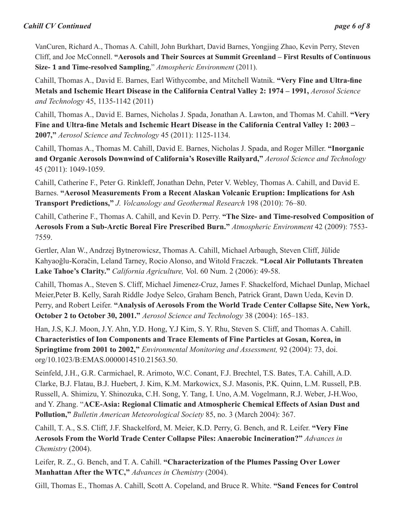#### *Cahill CV Continued page 6 of 8*

VanCuren, Richard A., Thomas A. Cahill, John Burkhart, David Barnes, Yongjing Zhao, Kevin Perry, Steven Cliff, and Joe McConnell. **"Aerosols and Their Sources at Summit Greenland – First Results of Continuous Size- 1 and Time-resolved Sampling**," *Atmospheric Environment* (2011).

Cahill, Thomas A., David E. Barnes, Earl Withycombe, and Mitchell Watnik. **"Very Fine and Ultra-fine Metals and Ischemic Heart Disease in the California Central Valley 2: 1974 – 1991,** *Aerosol Science and Technology* 45, 1135-1142 (2011)

Cahill, Thomas A., David E. Barnes, Nicholas J. Spada, Jonathan A. Lawton, and Thomas M. Cahill. **"Very Fine and Ultra-fine Metals and Ischemic Heart Disease in the California Central Valley 1: 2003 – 2007,"** *Aerosol Science and Technology* 45 (2011): 1125-1134.

Cahill, Thomas A., Thomas M. Cahill, David E. Barnes, Nicholas J. Spada, and Roger Miller. **"Inorganic and Organic Aerosols Downwind of California's Roseville Railyard,"** *Aerosol Science and Technology* 45 (2011): 1049-1059.

Cahill, Catherine F., Peter G. Rinkleff, Jonathan Dehn, Peter V. Webley, Thomas A. Cahill, and David E. Barnes. **"Aerosol Measurements From a Recent Alaskan Volcanic Eruption: Implications for Ash Transport Predictions,"** *J. Volcanology and Geothermal Research* 198 (2010): 76–80.

Cahill, Catherine F., Thomas A. Cahill, and Kevin D. Perry. **"The Size- and Time-resolved Composition of Aerosols From a Sub-Arctic Boreal Fire Prescribed Burn."** *Atmospheric Environment* 42 (2009): 7553- 7559.

Gertler, Alan W., Andrzej Bytnerowicsz, Thomas A. Cahill, Michael Arbaugh, Steven Cliff, Jülide Kahyaoğlu-Koračin, Leland Tarney, Rocio Alonso, and Witold Fraczek. **"Local Air Pollutants Threaten Lake Tahoe's Clarity."** *California Agriculture,* Vol. 60 Num. 2 (2006): 49-58.

Cahill, Thomas A., Steven S. Cliff, Michael Jimenez-Cruz, James F. Shackelford, Michael Dunlap, Michael Meier,Peter B. Kelly, Sarah Riddle, Jodye Selco, Graham Bench, Patrick Grant, Dawn Ueda, Kevin D. Perry, and Robert Leifer. **"Analysis of Aerosols From the World Trade Center Collapse Site, New York, October 2 to October 30, 2001."** *Aerosol Science and Technology* 38 (2004): 165–183.

Han, J.S, K.J. Moon, J.Y. Ahn, Y.D. Hong, Y.J Kim, S. Y. Rhu, Steven S. Cliff, and Thomas A. Cahill. **Characteristics of Ion Components and Trace Elements of Fine Particles at Gosan, Korea, in Springtime from 2001 to 2002,"** *Environmental Monitoring and Assessment,* 92 (2004): 73, doi. org/10.1023/B:EMAS.0000014510.21563.50.

Seinfeld, J.H., G.R. Carmichael, R. Arimoto, W.C. Conant, F.J. Brechtel, T.S. Bates, T.A. Cahill, A.D. Clarke, B.J. Flatau, B.J. Huebert, J. Kim, K.M. Markowicx, S.J. Masonis, P.K. Quinn, L.M. Russell, P.B. Russell, A. Shimizu, Y. Shinozuka, C.H. Song, Y. Tang, I. Uno, A.M. Vogelmann, R.J. Weber, J-H.Woo, and Y. Zhang. "**ACE-Asia: Regional Climatic and Atmospheric Chemical Effects of Asian Dust and Pollution,"** *Bulletin American Meteorological Society* 85, no. 3 (March 2004): 367.

Cahill, T. A., S.S. Cliff, J.F. Shackelford, M. Meier, K.D. Perry, G. Bench, and R. Leifer. **"Very Fine Aerosols From the World Trade Center Collapse Piles: Anaerobic Incineration?"** *Advances in Chemistry* (2004).

Leifer, R. Z., G. Bench, and T. A. Cahill. **"Characterization of the Plumes Passing Over Lower Manhattan After the WTC,"** *Advances in Chemistry* (2004).

Gill, Thomas E., Thomas A. Cahill, Scott A. Copeland, and Bruce R. White. **"Sand Fences for Control**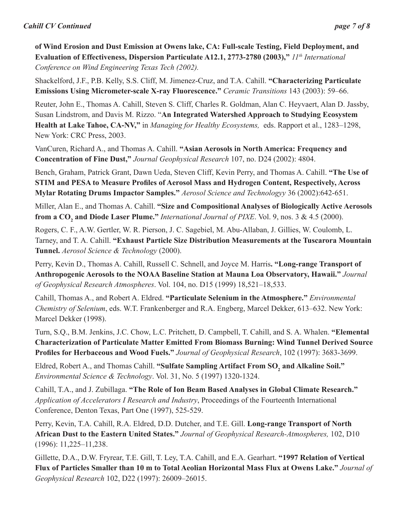**of Wind Erosion and Dust Emission at Owens lake, CA: Full-scale Testing, Field Deployment, and**  Evaluation of Effectiveness, Dispersion Particulate A12.1, 2773-2780 (2003),"  $11<sup>th</sup> International$ *Conference on Wind Engineering Texas Tech (2002).*

Shackelford, J.F., P.B. Kelly, S.S. Cliff, M. Jimenez-Cruz, and T.A. Cahill. **"Characterizing Particulate Emissions Using Micrometer-scale X-ray Fluorescence."** *Ceramic Transitions* 143 (2003): 59–66.

Reuter, John E., Thomas A. Cahill, Steven S. Cliff, Charles R. Goldman, Alan C. Heyvaert, Alan D. Jassby, Susan Lindstrom, and Davis M. Rizzo. "**An Integrated Watershed Approach to Studying Ecosystem Health at Lake Tahoe, CA-NV,"** in *Managing for Healthy Ecosystems,* eds. Rapport et al., 1283–1298, New York: CRC Press, 2003.

VanCuren, Richard A., and Thomas A. Cahill. **"Asian Aerosols in North America: Frequency and Concentration of Fine Dust,"** *Journal Geophysical Research* 107, no. D24 (2002): 4804.

Bench, Graham, Patrick Grant, Dawn Ueda, Steven Cliff, Kevin Perry, and Thomas A. Cahill. **"The Use of STIM and PESA to Measure Profiles of Aerosol Mass and Hydrogen Content, Respectively, Across Mylar Rotating Drums Impactor Samples."** *Aerosol Science and Technologyy* 36 (2002):642-651.

Miller, Alan E., and Thomas A. Cahill. **"Size and Compositional Analyses of Biologically Active Aerosols from a CO<sup>2</sup> and Diode Laser Plume."** *International Journal of PIXE*. Vol. 9, nos. 3 & 4.5 (2000).

Rogers, C. F., A.W. Gertler, W. R. Pierson, J. C. Sagebiel, M. Abu-Allaban, J. Gillies, W. Coulomb, L. Tarney, and T. A. Cahill. **"Exhaust Particle Size Distribution Measurements at the Tuscarora Mountain Tunnel.** *Aerosol Science & Technology* (2000).

Perry, Kevin D., Thomas A. Cahill, Russell C. Schnell, and Joyce M. Harris**. "Long-range Transport of Anthropogenic Aerosols to the NOAA Baseline Station at Mauna Loa Observatory, Hawaii."** *Journal of Geophysical Research Atmospheres*. Vol. 104, no. D15 (1999) 18,521–18,533.

Cahill, Thomas A., and Robert A. Eldred. **"Particulate Selenium in the Atmosphere."** *Environmental Chemistry of Selenium*, eds. W.T. Frankenberger and R.A. Engberg, Marcel Dekker, 613–632. New York: Marcel Dekker (1998).

Turn, S.Q., B.M. Jenkins, J.C. Chow, L.C. Pritchett, D. Campbell, T. Cahill, and S. A. Whalen. **"Elemental Characterization of Particulate Matter Emitted From Biomass Burning: Wind Tunnel Derived Source Profiles for Herbaceous and Wood Fuels."** *Journal of Geophysical Research*, 102 (1997): 3683-3699.

Eldred, Robert A., and Thomas Cahill. **"Sulfate Sampling Artifact From SO<sup>2</sup> and Alkaline Soil."**  *Environmental Science & Technology*. Vol. 31, No. 5 (1997) 1320-1324.

Cahill, T.A., and J. Zubillaga. **"The Role of Ion Beam Based Analyses in Global Climate Research."**  *Application of Accelerators I Research and Industry*, Proceedings of the Fourteenth International Conference, Denton Texas, Part One (1997), 525-529.

Perry, Kevin, T.A. Cahill, R.A. Eldred, D.D. Dutcher, and T.E. Gill. **Long-range Transport of North African Dust to the Eastern United States."** *Journal of Geophysical Research-Atmospheres,* 102, D10 (1996): 11,225–11,238.

Gillette, D.A., D.W. Fryrear, T.E. Gill, T. Ley, T.A. Cahill, and E.A. Gearhart. **"1997 Relation of Vertical Flux of Particles Smaller than 10 m to Total Aeolian Horizontal Mass Flux at Owens Lake."** *Journal of Geophysical Research* 102, D22 (1997): 26009–26015.